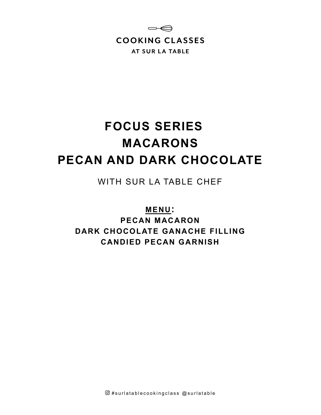

# **FOCUS SERIES MACARONS PECAN AND DARK CHOCOLATE**

WITH SUR LA TABLE CHEF

**MENU:**

**PECAN MACARON DARK CHOCOLATE GANACHE FILLING CANDIED PECAN GARNISH**

 $@$ #surlatablecookingclass  $@$ surlatable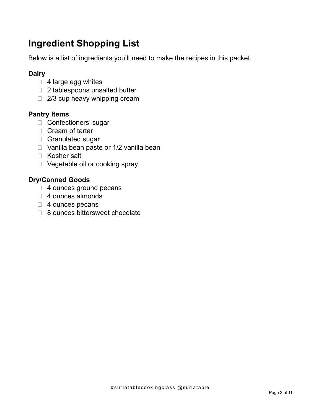## **Ingredient Shopping List**

Below is a list of ingredients you'll need to make the recipes in this packet.

## **Dairy**

- $\Box$  4 large egg whites
- □ 2 tablespoons unsalted butter
- $\Box$  2/3 cup heavy whipping cream

## **Pantry Items**

- □ Confectioners' sugar
- $\Box$  Cream of tartar
- □ Granulated sugar
- $\Box$  Vanilla bean paste or 1/2 vanilla bean
- □ Kosher salt
- D Vegetable oil or cooking spray

## **Dry/Canned Goods**

- □ 4 ounces ground pecans
- □ 4 ounces almonds
- □ 4 ounces pecans
- □ 8 ounces bittersweet chocolate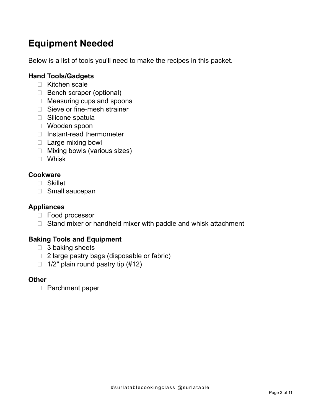## **Equipment Needed**

Below is a list of tools you'll need to make the recipes in this packet.

## **Hand Tools/Gadgets**

- □ Kitchen scale
- □ Bench scraper (optional)
- □ Measuring cups and spoons
- □ Sieve or fine-mesh strainer
- □ Silicone spatula
- Wooden spoon
- $\Box$  Instant-read thermometer
- □ Large mixing bowl
- Mixing bowls (various sizes)
- Whisk

## **Cookware**

- Skillet
- Small saucepan

### **Appliances**

- □ Food processor
- $\Box$  Stand mixer or handheld mixer with paddle and whisk attachment

## **Baking Tools and Equipment**

- $\Box$  3 baking sheets
- □ 2 large pastry bags (disposable or fabric)
- $\Box$  1/2" plain round pastry tip (#12)

#### **Other**

□ Parchment paper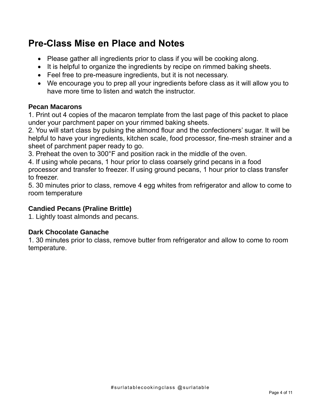## **Pre-Class Mise en Place and Notes**

- Please gather all ingredients prior to class if you will be cooking along.
- It is helpful to organize the ingredients by recipe on rimmed baking sheets.
- Feel free to pre-measure ingredients, but it is not necessary.
- We encourage you to prep all your ingredients before class as it will allow you to have more time to listen and watch the instructor.

## **Pecan Macarons**

1. Print out 4 copies of the macaron template from the last page of this packet to place under your parchment paper on your rimmed baking sheets.

2. You will start class by pulsing the almond flour and the confectioners' sugar. It will be helpful to have your ingredients, kitchen scale, food processor, fine-mesh strainer and a sheet of parchment paper ready to go.

3. Preheat the oven to 300°F and position rack in the middle of the oven.

4. If using whole pecans, 1 hour prior to class coarsely grind pecans in a food processor and transfer to freezer. If using ground pecans, 1 hour prior to class transfer to freezer.

5. 30 minutes prior to class, remove 4 egg whites from refrigerator and allow to come to room temperature

## **Candied Pecans (Praline Brittle)**

1. Lightly toast almonds and pecans.

## **Dark Chocolate Ganache**

1. 30 minutes prior to class, remove butter from refrigerator and allow to come to room temperature.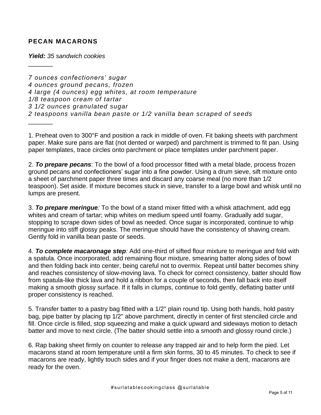#### **PECAN MACARONS**

 $\frac{1}{2}$ 

*Yield: 35 sandwich cookies*

*7 ounces confectioners' sugar 4 ounces ground pecans, frozen 4 large (4 ounces) egg whites, at room temperature 1/8 teaspoon cream of tartar 3 1/2 ounces granulated sugar 2 teaspoons vanilla bean paste or 1/2 vanilla bean scraped of seeds*  $\frac{1}{2}$ 

1. Preheat oven to 300°F and position a rack in middle of oven. Fit baking sheets with parchment paper. Make sure pans are flat (not dented or warped) and parchment is trimmed to fit pan. Using paper templates, trace circles onto parchment or place templates under parchment paper.

2. *To prepare pecans*: To the bowl of a food processor fitted with a metal blade, process frozen ground pecans and confectioners' sugar into a fine powder. Using a drum sieve, sift mixture onto a sheet of parchment paper three times and discard any coarse meal (no more than 1/2 teaspoon). Set aside. If mixture becomes stuck in sieve, transfer to a large bowl and whisk until no lumps are present.

3. *To prepare meringue:* To the bowl of a stand mixer fitted with a whisk attachment, add egg whites and cream of tartar; whip whites on medium speed until foamy. Gradually add sugar, stopping to scrape down sides of bowl as needed. Once sugar is incorporated, continue to whip meringue into stiff glossy peaks. The meringue should have the consistency of shaving cream. Gently fold in vanilla bean paste or seeds.

4. *To complete macaronage step:* Add one-third of sifted flour mixture to meringue and fold with a spatula. Once incorporated, add remaining flour mixture, smearing batter along sides of bowl and then folding back into center, being careful not to overmix. Repeat until batter becomes shiny and reaches consistency of slow-moving lava. To check for correct consistency, batter should flow from spatula-like thick lava and hold a ribbon for a couple of seconds, then fall back into itself making a smooth glossy surface. If it falls in clumps, continue to fold gently, deflating batter until proper consistency is reached.

5. Transfer batter to a pastry bag fitted with a 1/2" plain round tip. Using both hands, hold pastry bag, pipe batter by placing tip 1/2" above parchment, directly in center of first stenciled circle and fill. Once circle is filled, stop squeezing and make a quick upward and sideways motion to detach batter and move to next circle. (The batter should settle into a smooth and glossy round circle.)

6. Rap baking sheet firmly on counter to release any trapped air and to help form the pied. Let macarons stand at room temperature until a firm skin forms, 30 to 45 minutes. To check to see if macarons are ready, lightly touch sides and if your finger does not make a dent, macarons are ready for the oven.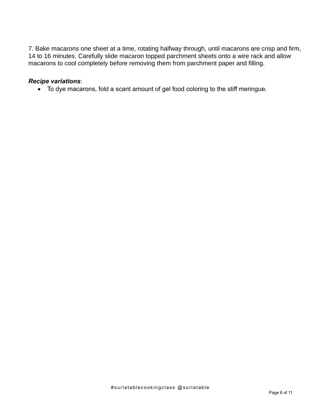7. Bake macarons one sheet at a time, rotating halfway through, until macarons are crisp and firm, 14 to 16 minutes. Carefully slide macaron topped parchment sheets onto a wire rack and allow macarons to cool completely before removing them from parchment paper and filling.

#### *Recipe variations*:

• To dye macarons, fold a scant amount of gel food coloring to the stiff meringue.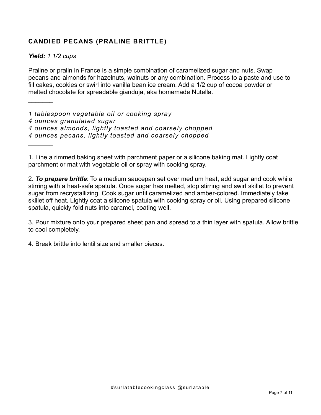## **CANDIED PECANS (PRALINE BRITTLE)**

*Yield: 1 1/2 cups*

 $\frac{1}{2}$ 

 $\frac{1}{2}$ 

Praline or pralin in France is a simple combination of caramelized sugar and nuts. Swap pecans and almonds for hazelnuts, walnuts or any combination. Process to a paste and use to fill cakes, cookies or swirl into vanilla bean ice cream. Add a 1/2 cup of cocoa powder or melted chocolate for spreadable gianduja, aka homemade Nutella.

*1 tablespoon vegetable oil or cooking spray 4 ounces granulated sugar 4 ounces almonds, lightly toasted and coarsely chopped 4 ounces pecans, lightly toasted and coarsely chopped*

1. Line a rimmed baking sheet with parchment paper or a silicone baking mat. Lightly coat parchment or mat with vegetable oil or spray with cooking spray.

2. *To prepare brittle*: To a medium saucepan set over medium heat, add sugar and cook while stirring with a heat-safe spatula. Once sugar has melted, stop stirring and swirl skillet to prevent sugar from recrystallizing. Cook sugar until caramelized and amber-colored. Immediately take skillet off heat. Lightly coat a silicone spatula with cooking spray or oil. Using prepared silicone spatula, quickly fold nuts into caramel, coating well.

3. Pour mixture onto your prepared sheet pan and spread to a thin layer with spatula. Allow brittle to cool completely.

4. Break brittle into lentil size and smaller pieces.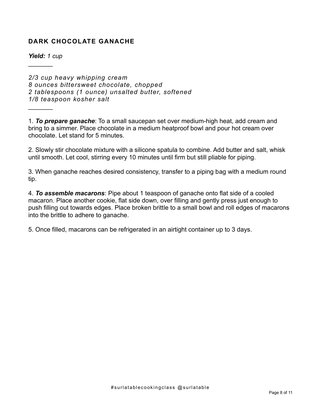## **DARK CHOCOLATE GANACHE**

*Yield: 1 cup*

 $\frac{1}{2}$ 

 $\frac{1}{2}$ 

*2/3 cup heavy whipping cream 8 ounces bittersweet chocolate, chopped 2 tablespoons (1 ounce) unsalted butter, softened 1/8 teaspoon kosher salt*

1. *To prepare ganache*: To a small saucepan set over medium-high heat, add cream and bring to a simmer. Place chocolate in a medium heatproof bowl and pour hot cream over chocolate. Let stand for 5 minutes.

2. Slowly stir chocolate mixture with a silicone spatula to combine. Add butter and salt, whisk until smooth. Let cool, stirring every 10 minutes until firm but still pliable for piping.

3. When ganache reaches desired consistency, transfer to a piping bag with a medium round tip.

4. *To assemble macarons*: Pipe about 1 teaspoon of ganache onto flat side of a cooled macaron. Place another cookie, flat side down, over filling and gently press just enough to push filling out towards edges. Place broken brittle to a small bowl and roll edges of macarons into the brittle to adhere to ganache.

5. Once filled, macarons can be refrigerated in an airtight container up to 3 days.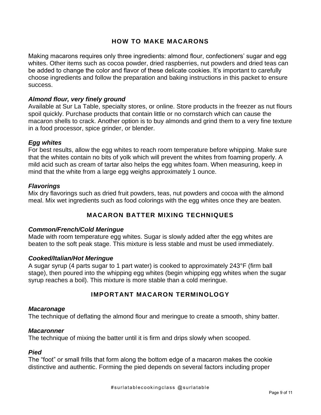#### **HOW TO MAKE MACARONS**

Making macarons requires only three ingredients: almond flour, confectioners' sugar and egg whites. Other items such as cocoa powder, dried raspberries, nut powders and dried teas can be added to change the color and flavor of these delicate cookies. It's important to carefully choose ingredients and follow the preparation and baking instructions in this packet to ensure success.

#### *Almond flour, very finely ground*

Available at Sur La Table, specialty stores, or online. Store products in the freezer as nut flours spoil quickly. Purchase products that contain little or no cornstarch which can cause the macaron shells to crack. Another option is to buy almonds and grind them to a very fine texture in a food processor, spice grinder, or blender.

#### *Egg whites*

For best results, allow the egg whites to reach room temperature before whipping. Make sure that the whites contain no bits of yolk which will prevent the whites from foaming properly. A mild acid such as cream of tartar also helps the egg whites foam. When measuring, keep in mind that the white from a large egg weighs approximately 1 ounce.

#### *Flavorings*

Mix dry flavorings such as dried fruit powders, teas, nut powders and cocoa with the almond meal. Mix wet ingredients such as food colorings with the egg whites once they are beaten.

#### **MACARON BATTER MIXING TECHNIQUES**

#### *Common/French/Cold Meringue*

Made with room temperature egg whites. Sugar is slowly added after the egg whites are beaten to the soft peak stage. This mixture is less stable and must be used immediately.

#### *Cooked/Italian/Hot Meringue*

A sugar syrup (4 parts sugar to 1 part water) is cooked to approximately 243°F (firm ball stage), then poured into the whipping egg whites (begin whipping egg whites when the sugar syrup reaches a boil). This mixture is more stable than a cold meringue.

#### **IMPORTANT MACARON TERMINOLOGY**

#### *Macaronage*

The technique of deflating the almond flour and meringue to create a smooth, shiny batter.

#### *Macaronner*

The technique of mixing the batter until it is firm and drips slowly when scooped.

#### *Pied*

The "foot" or small frills that form along the bottom edge of a macaron makes the cookie distinctive and authentic. Forming the pied depends on several factors including proper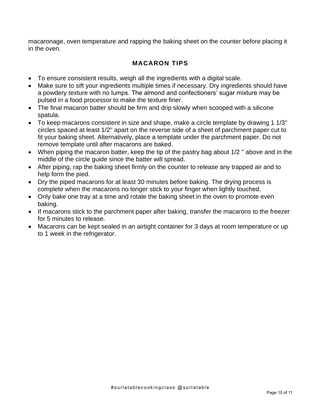macaronage, oven temperature and rapping the baking sheet on the counter before placing it in the oven.

## **MACARON TIPS**

- To ensure consistent results, weigh all the ingredients with a digital scale.
- Make sure to sift your ingredients multiple times if necessary. Dry ingredients should have a powdery texture with no lumps. The almond and confectioners' sugar mixture may be pulsed in a food processor to make the texture finer.
- The final macaron batter should be firm and drip slowly when scooped with a silicone spatula.
- To keep macarons consistent in size and shape, make a circle template by drawing 1 1/3" circles spaced at least 1/2" apart on the reverse side of a sheet of parchment paper cut to fit your baking sheet. Alternatively, place a template under the parchment paper. Do not remove template until after macarons are baked.
- When piping the macaron batter, keep the tip of the pastry bag about 1/2 " above and in the middle of the circle guide since the batter will spread.
- After piping, rap the baking sheet firmly on the counter to release any trapped air and to help form the pied.
- Dry the piped macarons for at least 30 minutes before baking. The drying process is complete when the macarons no longer stick to your finger when lightly touched.
- Only bake one tray at a time and rotate the baking sheet in the oven to promote even baking.
- If macarons stick to the parchment paper after baking, transfer the macarons to the freezer for 5 minutes to release.
- Macarons can be kept sealed in an airtight container for 3 days at room temperature or up to 1 week in the refrigerator.